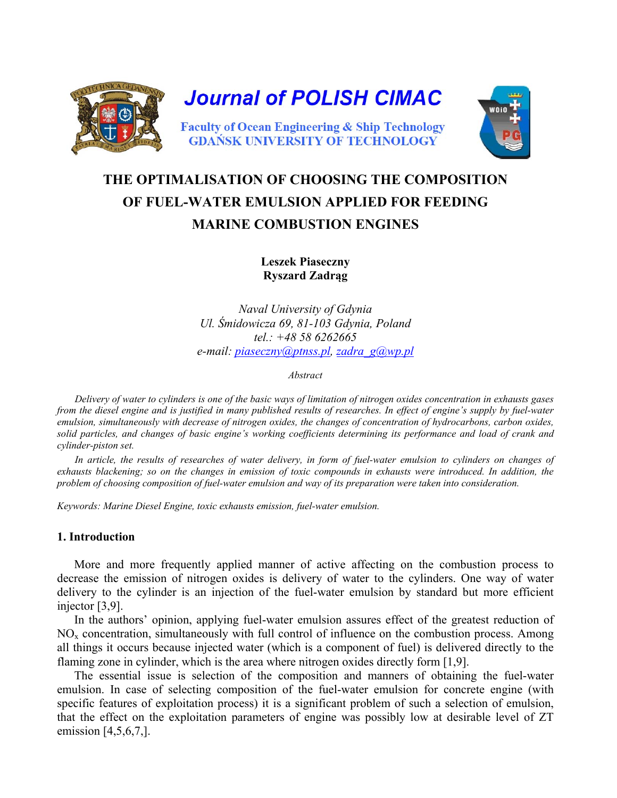

# **THE OPTIMALISATION OF CHOOSING THE COMPOSITION OF FUEL-WATER EMULSION APPLIED FOR FEEDING MARINE COMBUSTION ENGINES**

**Leszek Piaseczny Ryszard Zadrąg** 

*Naval University of Gdynia Ul. Śmidowicza 69, 81-103 Gdynia, Poland tel.: +48 58 6262665 e-mail: [piaseczny@ptnss.pl,](mailto:piaseczny@ptnss.pl) [zadra\\_g@wp.pl](mailto:zadra_g@wp.pl)*

*Abstract* 

 *Delivery of water to cylinders is one of the basic ways of limitation of nitrogen oxides concentration in exhausts gases from the diesel engine and is justified in many published results of researches. In effect of engine's supply by fuel-water emulsion, simultaneously with decrease of nitrogen oxides, the changes of concentration of hydrocarbons, carbon oxides, solid particles, and changes of basic engine's working coefficients determining its performance and load of crank and cylinder-piston set.* 

 *In article, the results of researches of water delivery, in form of fuel-water emulsion to cylinders on changes of exhausts blackening; so on the changes in emission of toxic compounds in exhausts were introduced. In addition, the problem of choosing composition of fuel-water emulsion and way of its preparation were taken into consideration.* 

*Keywords: Marine Diesel Engine, toxic exhausts emission, fuel-water emulsion.* 

## **1. Introduction**

More and more frequently applied manner of active affecting on the combustion process to decrease the emission of nitrogen oxides is delivery of water to the cylinders. One way of water delivery to the cylinder is an injection of the fuel-water emulsion by standard but more efficient injector [3,9].

In the authors' opinion, applying fuel-water emulsion assures effect of the greatest reduction of  $NO<sub>x</sub>$  concentration, simultaneously with full control of influence on the combustion process. Among all things it occurs because injected water (which is a component of fuel) is delivered directly to the flaming zone in cylinder, which is the area where nitrogen oxides directly form [1,9].

The essential issue is selection of the composition and manners of obtaining the fuel-water emulsion. In case of selecting composition of the fuel-water emulsion for concrete engine (with specific features of exploitation process) it is a significant problem of such a selection of emulsion, that the effect on the exploitation parameters of engine was possibly low at desirable level of ZT emission [4,5,6,7,].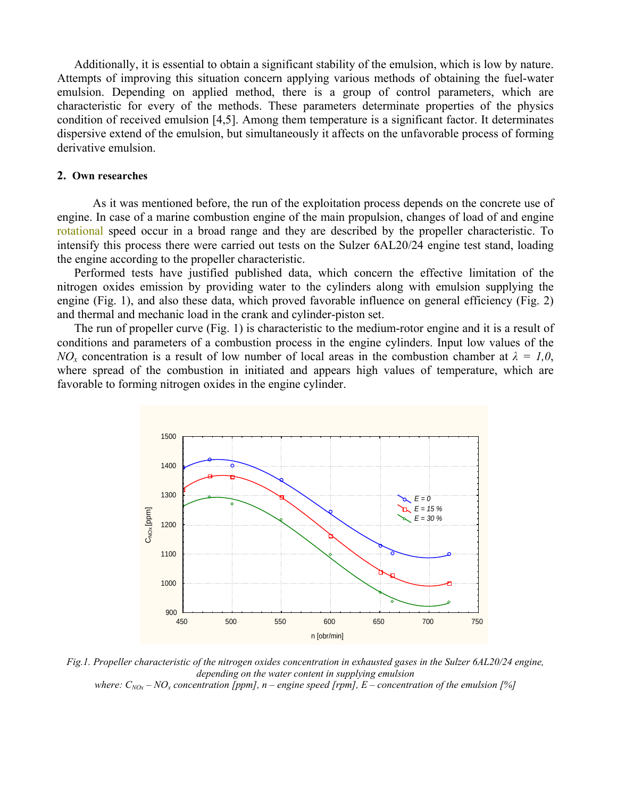Additionally, it is essential to obtain a significant stability of the emulsion, which is low by nature. Attempts of improving this situation concern applying various methods of obtaining the fuel-water emulsion. Depending on applied method, there is a group of control parameters, which are characteristic for every of the methods. These parameters determinate properties of the physics condition of received emulsion [4,5]. Among them temperature is a significant factor. It determinates dispersive extend of the emulsion, but simultaneously it affects on the unfavorable process of forming derivative emulsion.

#### **2. Own researches**

 As it was mentioned before, the run of the exploitation process depends on the concrete use of engine. In case of a marine combustion engine of the main propulsion, changes of load of and engine rotational speed occur in a broad range and they are described by the propeller characteristic. To intensify this process there were carried out tests on the Sulzer 6AL20/24 engine test stand, loading the engine according to the propeller characteristic.

Performed tests have justified published data, which concern the effective limitation of the nitrogen oxides emission by providing water to the cylinders along with emulsion supplying the engine (Fig. 1), and also these data, which proved favorable influence on general efficiency (Fig. 2) and thermal and mechanic load in the crank and cylinder-piston set.

The run of propeller curve (Fig. 1) is characteristic to the medium-rotor engine and it is a result of conditions and parameters of a combustion process in the engine cylinders. Input low values of the *NO<sub>x</sub>* concentration is a result of low number of local areas in the combustion chamber at  $\lambda = 1.0$ , where spread of the combustion in initiated and appears high values of temperature, which are favorable to forming nitrogen oxides in the engine cylinder.



*Fig.1. Propeller characteristic of the nitrogen oxides concentration in exhausted gases in the Sulzer 6AL20/24 engine, depending on the water content in supplying emulsion where:*  $C_{N0x} - NO_x$  concentration [ppm], n – engine speed [rpm], E – concentration of the emulsion [%]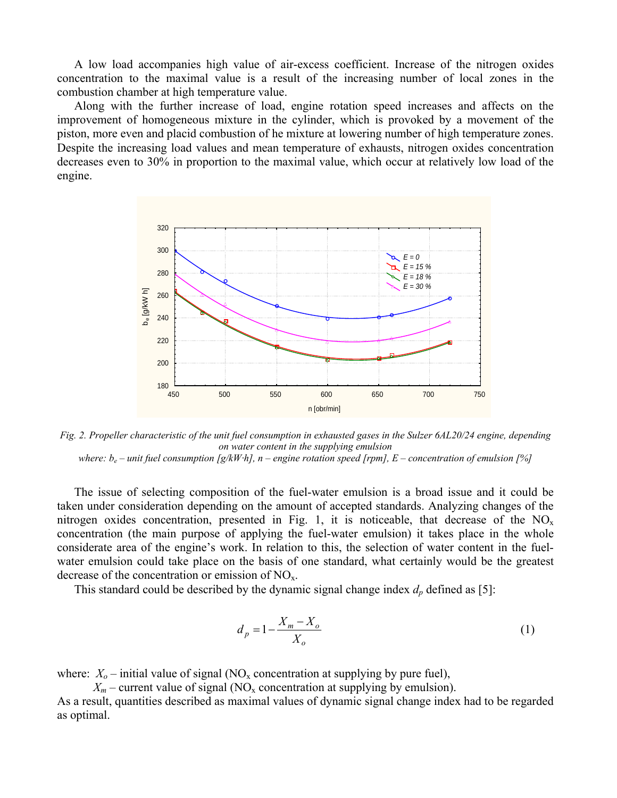A low load accompanies high value of air-excess coefficient. Increase of the nitrogen oxides concentration to the maximal value is a result of the increasing number of local zones in the combustion chamber at high temperature value.

Along with the further increase of load, engine rotation speed increases and affects on the improvement of homogeneous mixture in the cylinder, which is provoked by a movement of the piston, more even and placid combustion of he mixture at lowering number of high temperature zones. Despite the increasing load values and mean temperature of exhausts, nitrogen oxides concentration decreases even to 30% in proportion to the maximal value, which occur at relatively low load of the engine.



*Fig. 2. Propeller characteristic of the unit fuel consumption in exhausted gases in the Sulzer 6AL20/24 engine, depending on water content in the supplying emulsion* 

*where:*  $b_e$  – unit fuel consumption  $[g/kWh]$ , n – engine rotation speed [rpm], E – concentration of emulsion [%]

The issue of selecting composition of the fuel-water emulsion is a broad issue and it could be taken under consideration depending on the amount of accepted standards. Analyzing changes of the nitrogen oxides concentration, presented in Fig. 1, it is noticeable, that decrease of the  $NO<sub>x</sub>$ concentration (the main purpose of applying the fuel-water emulsion) it takes place in the whole considerate area of the engine's work. In relation to this, the selection of water content in the fuelwater emulsion could take place on the basis of one standard, what certainly would be the greatest decrease of the concentration or emission of  $NO<sub>x</sub>$ .

This standard could be described by the dynamic signal change index  $d_p$  defined as [5]:

$$
d_p = 1 - \frac{X_m - X_o}{X_o} \tag{1}
$$

where:  $X_0$  – initial value of signal (NO<sub>x</sub> concentration at supplying by pure fuel),

 $X_m$  – current value of signal (NO<sub>x</sub> concentration at supplying by emulsion).

As a result, quantities described as maximal values of dynamic signal change index had to be regarded as optimal.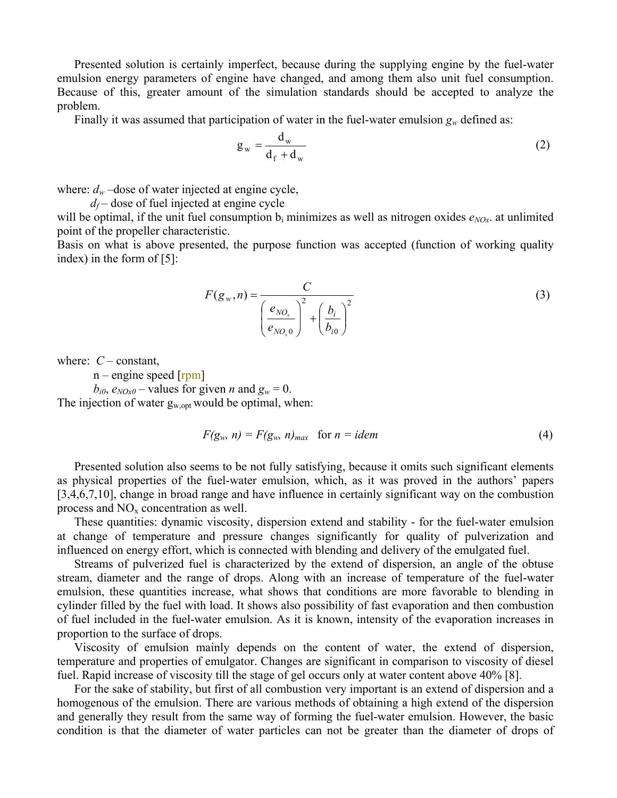Presented solution is certainly imperfect, because during the supplying engine by the fuel-water emulsion energy parameters of engine have changed, and among them also unit fuel consumption. Because of this, greater amount of the simulation standards should be accepted to analyze the problem.

Finally it was assumed that participation of water in the fuel-water emulsion  $g_w$  defined as:

$$
g_w = \frac{d_w}{d_f + d_w} \tag{2}
$$

where:  $d_w$  –dose of water injected at engine cycle,

 $d_f$  – dose of fuel injected at engine cycle

will be optimal, if the unit fuel consumption  $b_i$  minimizes as well as nitrogen oxides  $e_{NOx}$ , at unlimited point of the propeller characteristic.

Basis on what is above presented, the purpose function was accepted (function of working quality index) in the form of [5]:

$$
F(g_w, n) = \frac{C}{\left(\frac{e_{NO_x}}{e_{NO_x 0}}\right)^2 + \left(\frac{b_i}{b_{i0}}\right)^2}
$$
(3)

where:  $C$  – constant,

 $n$  – engine speed  $[rpm]$ 

 $b_{i0}$ ,  $e_{NOx0}$  – values for given *n* and  $g_w = 0$ .

The injection of water  $g_{w, opt}$  would be optimal, when:

$$
F(g_w, n) = F(g_w, n)_{max} \quad \text{for } n = idem
$$
 (4)

Presented solution also seems to be not fully satisfying, because it omits such significant elements as physical properties of the fuel-water emulsion, which, as it was proved in the authors' papers [3,4,6,7,10], change in broad range and have influence in certainly significant way on the combustion process and  $NO<sub>x</sub>$  concentration as well.

These quantities: dynamic viscosity, dispersion extend and stability - for the fuel-water emulsion at change of temperature and pressure changes significantly for quality of pulverization and influenced on energy effort, which is connected with blending and delivery of the emulgated fuel.

Streams of pulverized fuel is characterized by the extend of dispersion, an angle of the obtuse stream, diameter and the range of drops. Along with an increase of temperature of the fuel-water emulsion, these quantities increase, what shows that conditions are more favorable to blending in cylinder filled by the fuel with load. It shows also possibility of fast evaporation and then combustion of fuel included in the fuel-water emulsion. As it is known, intensity of the evaporation increases in proportion to the surface of drops.

Viscosity of emulsion mainly depends on the content of water, the extend of dispersion, temperature and properties of emulgator. Changes are significant in comparison to viscosity of diesel fuel. Rapid increase of viscosity till the stage of gel occurs only at water content above 40% [8].

For the sake of stability, but first of all combustion very important is an extend of dispersion and a homogenous of the emulsion. There are various methods of obtaining a high extend of the dispersion and generally they result from the same way of forming the fuel-water emulsion. However, the basic condition is that the diameter of water particles can not be greater than the diameter of drops of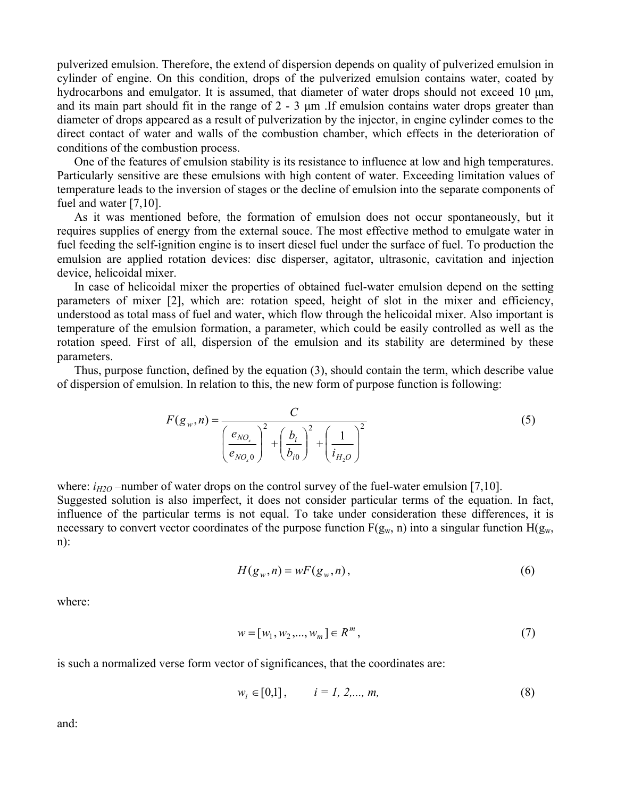pulverized emulsion. Therefore, the extend of dispersion depends on quality of pulverized emulsion in cylinder of engine. On this condition, drops of the pulverized emulsion contains water, coated by hydrocarbons and emulgator. It is assumed, that diameter of water drops should not exceed 10 μm, and its main part should fit in the range of 2 - 3 μm .If emulsion contains water drops greater than diameter of drops appeared as a result of pulverization by the injector, in engine cylinder comes to the direct contact of water and walls of the combustion chamber, which effects in the deterioration of conditions of the combustion process.

One of the features of emulsion stability is its resistance to influence at low and high temperatures. Particularly sensitive are these emulsions with high content of water. Exceeding limitation values of temperature leads to the inversion of stages or the decline of emulsion into the separate components of fuel and water [7,10].

As it was mentioned before, the formation of emulsion does not occur spontaneously, but it requires supplies of energy from the external souce. The most effective method to emulgate water in fuel feeding the self-ignition engine is to insert diesel fuel under the surface of fuel. To production the emulsion are applied rotation devices: disc disperser, agitator, ultrasonic, cavitation and injection device, helicoidal mixer.

In case of helicoidal mixer the properties of obtained fuel-water emulsion depend on the setting parameters of mixer [2], which are: rotation speed, height of slot in the mixer and efficiency, understood as total mass of fuel and water, which flow through the helicoidal mixer. Also important is temperature of the emulsion formation, a parameter, which could be easily controlled as well as the rotation speed. First of all, dispersion of the emulsion and its stability are determined by these parameters.

Thus, purpose function, defined by the equation (3), should contain the term, which describe value of dispersion of emulsion. In relation to this, the new form of purpose function is following:

$$
F(g_w, n) = \frac{C}{\left(\frac{e_{NO_x}}{e_{NO_x 0}}\right)^2 + \left(\frac{b_i}{b_{i0}}\right)^2 + \left(\frac{1}{i_{H_2 O}}\right)^2}
$$
(5)

where:  $i_{H2O}$  –number of water drops on the control survey of the fuel-water emulsion [7,10]. Suggested solution is also imperfect, it does not consider particular terms of the equation. In fact, influence of the particular terms is not equal. To take under consideration these differences, it is necessary to convert vector coordinates of the purpose function  $F(g_w, n)$  into a singular function  $H(g_w, n)$ n):

$$
H(g_w, n) = wF(g_w, n), \qquad (6)
$$

where:

$$
w = [w_1, w_2, ..., w_m] \in R^m,
$$
\n(7)

is such a normalized verse form vector of significances, that the coordinates are:

$$
w_i \in [0,1], \qquad i = 1, 2,..., m,
$$
 (8)

and: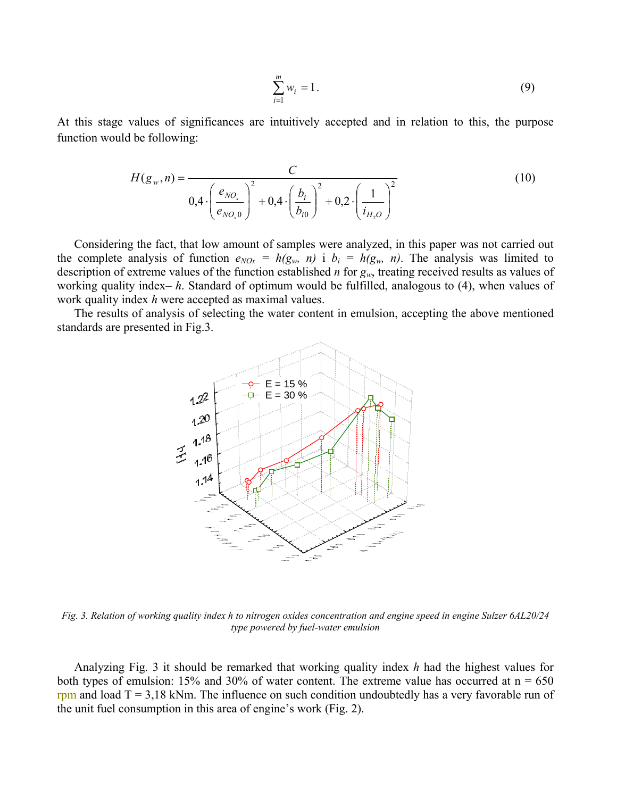$$
\sum_{i=1}^{m} w_i = 1. \tag{9}
$$

At this stage values of significances are intuitively accepted and in relation to this, the purpose function would be following:

$$
H(g_w, n) = \frac{C}{0.4 \cdot \left(\frac{e_{NO_x}}{e_{NO_x 0}}\right)^2 + 0.4 \cdot \left(\frac{b_i}{b_{i0}}\right)^2 + 0.2 \cdot \left(\frac{1}{i_{H_2 O}}\right)^2}
$$
(10)

Considering the fact, that low amount of samples were analyzed, in this paper was not carried out the complete analysis of function  $e_{NOx} = h(g_w, n)$  i  $b_i = h(g_w, n)$ . The analysis was limited to description of extreme values of the function established *n* for *gw*, treating received results as values of working quality index– *h*. Standard of optimum would be fulfilled, analogous to (4), when values of work quality index *h* were accepted as maximal values.

The results of analysis of selecting the water content in emulsion, accepting the above mentioned standards are presented in Fig.3.



*Fig. 3. Relation of working quality index h to nitrogen oxides concentration and engine speed in engine Sulzer 6AL20/24 type powered by fuel-water emulsion* 

Analyzing Fig. 3 it should be remarked that working quality index *h* had the highest values for both types of emulsion: 15% and 30% of water content. The extreme value has occurred at  $n = 650$ rpm and load  $T = 3.18$  kNm. The influence on such condition undoubtedly has a very favorable run of the unit fuel consumption in this area of engine's work (Fig. 2).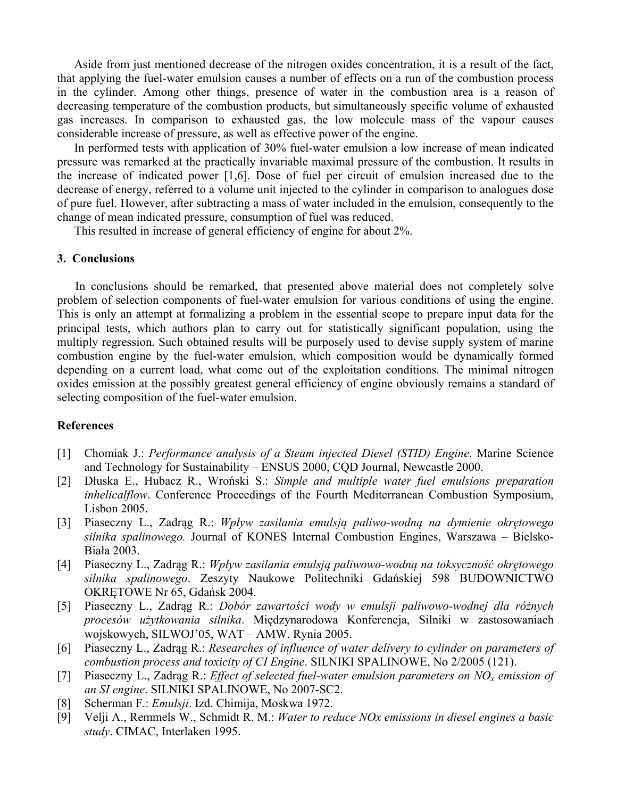Aside from just mentioned decrease of the nitrogen oxides concentration, it is a result of the fact, that applying the fuel-water emulsion causes a number of effects on a run of the combustion process in the cylinder. Among other things, presence of water in the combustion area is a reason of decreasing temperature of the combustion products, but simultaneously specific volume of exhausted gas increases. In comparison to exhausted gas, the low molecule mass of the vapour causes considerable increase of pressure, as well as effective power of the engine.

In performed tests with application of 30% fuel-water emulsion a low increase of mean indicated pressure was remarked at the practically invariable maximal pressure of the combustion. It results in the increase of indicated power [1,6]. Dose of fuel per circuit of emulsion increased due to the decrease of energy, referred to a volume unit injected to the cylinder in comparison to analogues dose of pure fuel. However, after subtracting a mass of water included in the emulsion, consequently to the change of mean indicated pressure, consumption of fuel was reduced.

This resulted in increase of general efficiency of engine for about 2%.

## **3. Conclusions**

 In conclusions should be remarked, that presented above material does not completely solve problem of selection components of fuel-water emulsion for various conditions of using the engine. This is only an attempt at formalizing a problem in the essential scope to prepare input data for the principal tests, which authors plan to carry out for statistically significant population, using the multiply regression. Such obtained results will be purposely used to devise supply system of marine combustion engine by the fuel-water emulsion, which composition would be dynamically formed depending on a current load, what come out of the exploitation conditions. The minimal nitrogen oxides emission at the possibly greatest general efficiency of engine obviously remains a standard of selecting composition of the fuel-water emulsion.

### **References**

- [1] Chomiak J.: *Performance analysis of a Steam injected Diesel (STID) Engine*. Marine Science and Technology for Sustainability – ENSUS 2000, CQD Journal, Newcastle 2000.
- [2] Dłuska E., Hubacz R., Wroński S.: *Simple and multiple water fuel emulsions preparation inhelicalflow*. Conference Proceedings of the Fourth Mediterranean Combustion Symposium, Lisbon 2005.
- [3] Piaseczny L., Zadrąg R.: *Wpływ zasilania emulsją paliwo-wodną na dymienie okrętowego silnika spalinowego.* Journal of KONES Internal Combustion Engines, Warszawa – Bielsko-Biała 2003.
- [4] Piaseczny L., Zadrąg R.: *Wpływ zasilania emulsją paliwowo-wodną na toksyczność okrętowego silnika spalinowego*. Zeszyty Naukowe Politechniki Gdańskiej 598 BUDOWNICTWO OKRĘTOWE Nr 65, Gdańsk 2004.
- [5] Piaseczny L., Zadrąg R.: *Dobór zawartości wody w emulsji paliwowo-wodnej dla różnych procesów użytkowania silnika*. Międzynarodowa Konferencja, Silniki w zastosowaniach wojskowych, SILWOJ'05, WAT – AMW. Rynia 2005.
- [6] Piaseczny L., Zadrąg R.: *Researches of influence of water delivery to cylinder on parameters of combustion process and toxicity of CI Engine*. SILNIKI SPALINOWE, No 2/2005 (121).
- [7] Piaseczny L., Zadrąg R.: *Effect of selected fuel-water emulsion parameters on NOx emission of an SI engine*. SILNIKI SPALINOWE, No 2007-SC2.
- [8] Scherman F.: *Emulsji*. Izd. Chimija, Moskwa 1972.
- [9] Velji A., Remmels W., Schmidt R. M.: *Water to reduce NOx emissions in diesel engines a basic study*. CIMAC, Interlaken 1995.